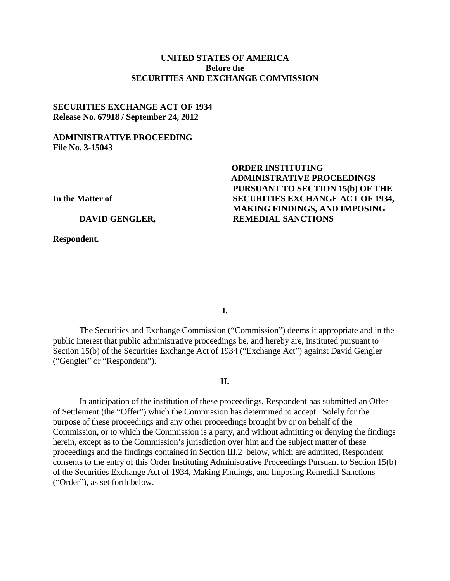# **UNITED STATES OF AMERICA Before the SECURITIES AND EXCHANGE COMMISSION**

## **SECURITIES EXCHANGE ACT OF 1934 Release No. 67918 / September 24, 2012**

## **ADMINISTRATIVE PROCEEDING File No. 3-15043**

**In the Matter of**

#### **DAVID GENGLER,**

**Respondent.**

# **ORDER INSTITUTING ADMINISTRATIVE PROCEEDINGS PURSUANT TO SECTION 15(b) OF THE SECURITIES EXCHANGE ACT OF 1934, MAKING FINDINGS, AND IMPOSING REMEDIAL SANCTIONS**

**I.**

The Securities and Exchange Commission ("Commission") deems it appropriate and in the public interest that public administrative proceedings be, and hereby are, instituted pursuant to Section 15(b) of the Securities Exchange Act of 1934 ("Exchange Act") against David Gengler ("Gengler" or "Respondent").

### **II.**

In anticipation of the institution of these proceedings, Respondent has submitted an Offer of Settlement (the "Offer") which the Commission has determined to accept. Solely for the purpose of these proceedings and any other proceedings brought by or on behalf of the Commission, or to which the Commission is a party, and without admitting or denying the findings herein, except as to the Commission's jurisdiction over him and the subject matter of these proceedings and the findings contained in Section III.2 below, which are admitted, Respondent consents to the entry of this Order Instituting Administrative Proceedings Pursuant to Section 15(b) of the Securities Exchange Act of 1934, Making Findings, and Imposing Remedial Sanctions ("Order"), as set forth below.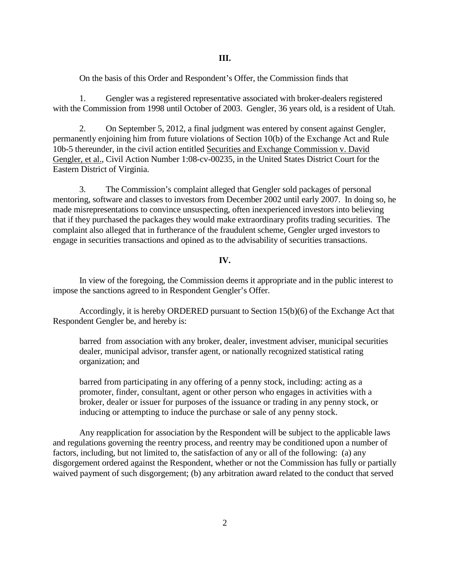On the basis of this Order and Respondent's Offer, the Commission finds that

1. Gengler was a registered representative associated with broker-dealers registered with the Commission from 1998 until October of 2003. Gengler, 36 years old, is a resident of Utah.

2. On September 5, 2012, a final judgment was entered by consent against Gengler, permanently enjoining him from future violations of Section 10(b) of the Exchange Act and Rule 10b-5 thereunder, in the civil action entitled Securities and Exchange Commission v. David Gengler, et al., Civil Action Number 1:08-cv-00235, in the United States District Court for the Eastern District of Virginia.

3. The Commission's complaint alleged that Gengler sold packages of personal mentoring, software and classes to investors from December 2002 until early 2007. In doing so, he made misrepresentations to convince unsuspecting, often inexperienced investors into believing that if they purchased the packages they would make extraordinary profits trading securities. The complaint also alleged that in furtherance of the fraudulent scheme, Gengler urged investors to engage in securities transactions and opined as to the advisability of securities transactions.

### **IV.**

In view of the foregoing, the Commission deems it appropriate and in the public interest to impose the sanctions agreed to in Respondent Gengler's Offer.

Accordingly, it is hereby ORDERED pursuant to Section 15(b)(6) of the Exchange Act that Respondent Gengler be, and hereby is:

barred from association with any broker, dealer, investment adviser, municipal securities dealer, municipal advisor, transfer agent, or nationally recognized statistical rating organization; and

barred from participating in any offering of a penny stock, including: acting as a promoter, finder, consultant, agent or other person who engages in activities with a broker, dealer or issuer for purposes of the issuance or trading in any penny stock, or inducing or attempting to induce the purchase or sale of any penny stock.

Any reapplication for association by the Respondent will be subject to the applicable laws and regulations governing the reentry process, and reentry may be conditioned upon a number of factors, including, but not limited to, the satisfaction of any or all of the following: (a) any disgorgement ordered against the Respondent, whether or not the Commission has fully or partially waived payment of such disgorgement; (b) any arbitration award related to the conduct that served